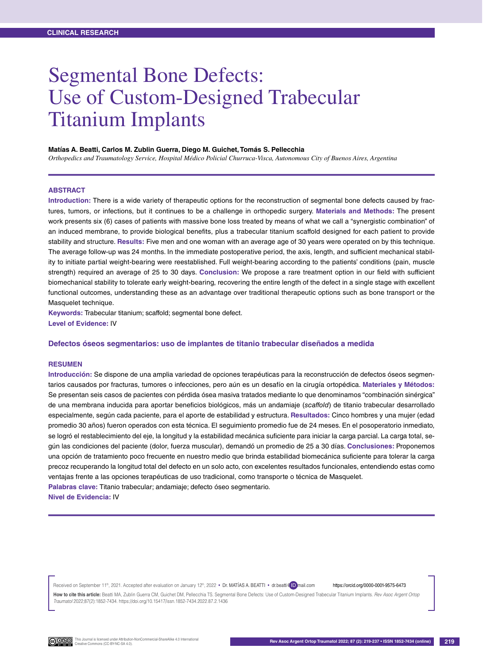# Segmental Bone Defects: Use of Custom-Designed Trabecular Titanium Implants

#### **Matías A. Beatti, Carlos M. Zublin Guerra, Diego M. Guichet, Tomás S. Pellecchia**

*Orthopedics and Traumatology Service, Hospital Médico Policial Churruca-Visca, Autonomous City of Buenos Aires, Argentina*

## **Abstract**

**Introduction:** There is a wide variety of therapeutic options for the reconstruction of segmental bone defects caused by fractures, tumors, or infections, but it continues to be a challenge in orthopedic surgery. **Materials and Methods:** The present work presents six (6) cases of patients with massive bone loss treated by means of what we call a "synergistic combination" of an induced membrane, to provide biological benefits, plus a trabecular titanium scaffold designed for each patient to provide stability and structure. **Results:** Five men and one woman with an average age of 30 years were operated on by this technique. The average follow-up was 24 months. In the immediate postoperative period, the axis, length, and sufficient mechanical stability to initiate partial weight-bearing were reestablished. Full weight-bearing according to the patients' conditions (pain, muscle strength) required an average of 25 to 30 days. **Conclusion:** We propose a rare treatment option in our field with sufficient biomechanical stability to tolerate early weight-bearing, recovering the entire length of the defect in a single stage with excellent functional outcomes, understanding these as an advantage over traditional therapeutic options such as bone transport or the Masquelet technique.

**Keywords:** Trabecular titanium; scaffold; segmental bone defect. **Level of Evidence:** IV

### **Defectos óseos segmentarios: uso de implantes de titanio trabecular diseñados a medida**

### **Resumen**

**Introducción:** Se dispone de una amplia variedad de opciones terapéuticas para la reconstrucción de defectos óseos segmentarios causados por fracturas, tumores o infecciones, pero aún es un desafío en la cirugía ortopédica. **Materiales y Métodos:** Se presentan seis casos de pacientes con pérdida ósea masiva tratados mediante lo que denominamos "combinación sinérgica" de una membrana inducida para aportar beneficios biológicos, más un andamiaje (*scaffold*) de titanio trabecular desarrollado especialmente, según cada paciente, para el aporte de estabilidad y estructura. **Resultados:** Cinco hombres y una mujer (edad promedio 30 años) fueron operados con esta técnica. El seguimiento promedio fue de 24 meses. En el posoperatorio inmediato, se logró el restablecimiento del eje, la longitud y la estabilidad mecánica suficiente para iniciar la carga parcial. La carga total, según las condiciones del paciente (dolor, fuerza muscular), demandó un promedio de 25 a 30 días. **Conclusiones:** Proponemos una opción de tratamiento poco frecuente en nuestro medio que brinda estabilidad biomecánica suficiente para tolerar la carga precoz recuperando la longitud total del defecto en un solo acto, con excelentes resultados funcionales, entendiendo estas como ventajas frente a las opciones terapéuticas de uso tradicional, como transporte o técnica de Masquelet.

**Palabras clave:** Titanio trabecular; andamiaje; defecto óseo segmentario.

**Nivel de Evidencia:** IV

Received on September 11th, 2021. Accepted after evaluation on January 12th, 2022 • Dr. MATIAS A. BEATTI • dr.beatti@ ID mail.com https://orcid.org/0000-0001-9575-6473 **How to cite this article:** Beatti MA, Zublin Guerra CM, Guichet DM, Pellecchia TS. Segmental Bone Defects: Use of Custom-Designed Trabecular Titanium Implants. *Rev Asoc Argent Ortop Traumatol* 2022;87(2):1852-7434. https://doi.org/10.15417/issn.1852-7434.2022.87.2.1436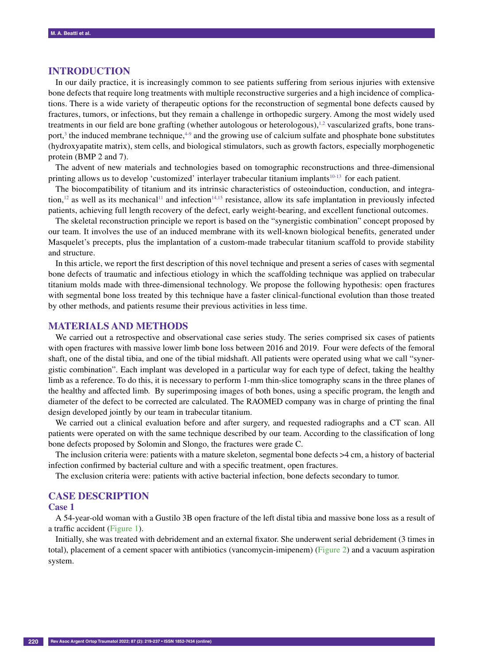# **Introduction**

In our daily practice, it is increasingly common to see patients suffering from serious injuries with extensive bone defects that require long treatments with multiple reconstructive surgeries and a high incidence of complications. There is a wide variety of therapeutic options for the reconstruction of segmental bone defects caused by fractures, tumors, or infections, but they remain a challenge in orthopedic surgery. Among the most widely used treatments in our field are bone grafting (whether autologous or heterologous),<sup>1,2</sup> vascularized grafts, bone transport,<sup>3</sup> the induced membrane technique, $4-9$  and the growing use of calcium sulfate and phosphate bone substitutes (hydroxyapatite matrix), stem cells, and biological stimulators, such as growth factors, especially morphogenetic protein (BMP 2 and 7).

The advent of new materials and technologies based on tomographic reconstructions and three-dimensional printing allows us to develop 'customized' interlayer trabecular titanium implants<sup>10-13</sup> for each patient.

The biocompatibility of titanium and its intrinsic characteristics of osteoinduction, conduction, and integration,<sup>12</sup> as well as its mechanical<sup>11</sup> and infection<sup>14,15</sup> resistance, allow its safe implantation in previously infected patients, achieving full length recovery of the defect, early weight-bearing, and excellent functional outcomes.

The skeletal reconstruction principle we report is based on the "synergistic combination" concept proposed by our team. It involves the use of an induced membrane with its well-known biological benefits, generated under Masquelet's precepts, plus the implantation of a custom-made trabecular titanium scaffold to provide stability and structure.

In this article, we report the first description of this novel technique and present a series of cases with segmental bone defects of traumatic and infectious etiology in which the scaffolding technique was applied on trabecular titanium molds made with three-dimensional technology. We propose the following hypothesis: open fractures with segmental bone loss treated by this technique have a faster clinical-functional evolution than those treated by other methods, and patients resume their previous activities in less time.

# **Materials and methods**

We carried out a retrospective and observational case series study. The series comprised six cases of patients with open fractures with massive lower limb bone loss between 2016 and 2019. Four were defects of the femoral shaft, one of the distal tibia, and one of the tibial midshaft. All patients were operated using what we call "synergistic combination". Each implant was developed in a particular way for each type of defect, taking the healthy limb as a reference. To do this, it is necessary to perform 1-mm thin-slice tomography scans in the three planes of the healthy and affected limb. By superimposing images of both bones, using a specific program, the length and diameter of the defect to be corrected are calculated. The RAOMED company was in charge of printing the final design developed jointly by our team in trabecular titanium.

We carried out a clinical evaluation before and after surgery, and requested radiographs and a CT scan. All patients were operated on with the same technique described by our team. According to the classification of long bone defects proposed by Solomin and Slongo, the fractures were grade C.

The inclusion criteria were: patients with a mature skeleton, segmental bone defects >4 cm, a history of bacterial infection confirmed by bacterial culture and with a specific treatment, open fractures.

The exclusion criteria were: patients with active bacterial infection, bone defects secondary to tumor.

# **Case Description**

# **Case 1**

A 54-year-old woman with a Gustilo 3B open fracture of the left distal tibia and massive bone loss as a result of a traffic accident (Figure 1).

Initially, she was treated with debridement and an external fixator. She underwent serial debridement (3 times in total), placement of a cement spacer with antibiotics (vancomycin-imipenem) (Figure 2) and a vacuum aspiration system.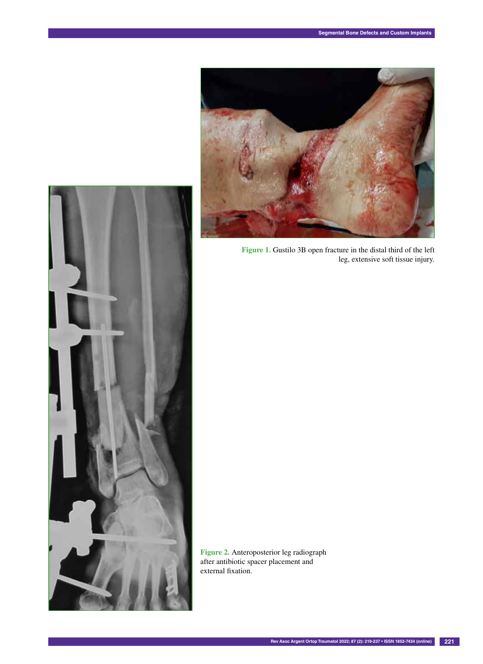

**Figure 1.** Gustilo 3B open fracture in the distal third of the left leg, extensive soft tissue injury.



**Figure 2.** Anteroposterior leg radiograph after antibiotic spacer placement and external fixation.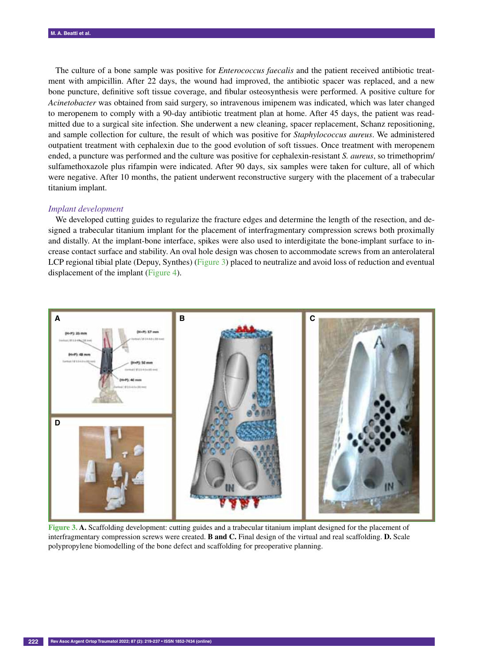The culture of a bone sample was positive for *Enterococcus faecalis* and the patient received antibiotic treatment with ampicillin. After 22 days, the wound had improved, the antibiotic spacer was replaced, and a new bone puncture, definitive soft tissue coverage, and fibular osteosynthesis were performed. A positive culture for *Acinetobacter* was obtained from said surgery, so intravenous imipenem was indicated, which was later changed to meropenem to comply with a 90-day antibiotic treatment plan at home. After 45 days, the patient was readmitted due to a surgical site infection. She underwent a new cleaning, spacer replacement, Schanz repositioning, and sample collection for culture, the result of which was positive for *Staphylococcus aureus*. We administered outpatient treatment with cephalexin due to the good evolution of soft tissues. Once treatment with meropenem ended, a puncture was performed and the culture was positive for cephalexin-resistant *S. aureus*, so trimethoprim/ sulfamethoxazole plus rifampin were indicated. After 90 days, six samples were taken for culture, all of which were negative. After 10 months, the patient underwent reconstructive surgery with the placement of a trabecular titanium implant.

#### *Implant development*

We developed cutting guides to regularize the fracture edges and determine the length of the resection, and designed a trabecular titanium implant for the placement of interfragmentary compression screws both proximally and distally. At the implant-bone interface, spikes were also used to interdigitate the bone-implant surface to increase contact surface and stability. An oval hole design was chosen to accommodate screws from an anterolateral LCP regional tibial plate (Depuy, Synthes) (Figure 3) placed to neutralize and avoid loss of reduction and eventual displacement of the implant (Figure 4).



**Figure 3. A.** Scaffolding development: cutting guides and a trabecular titanium implant designed for the placement of interfragmentary compression screws were created. **B and C.** Final design of the virtual and real scaffolding. **D.** Scale polypropylene biomodelling of the bone defect and scaffolding for preoperative planning.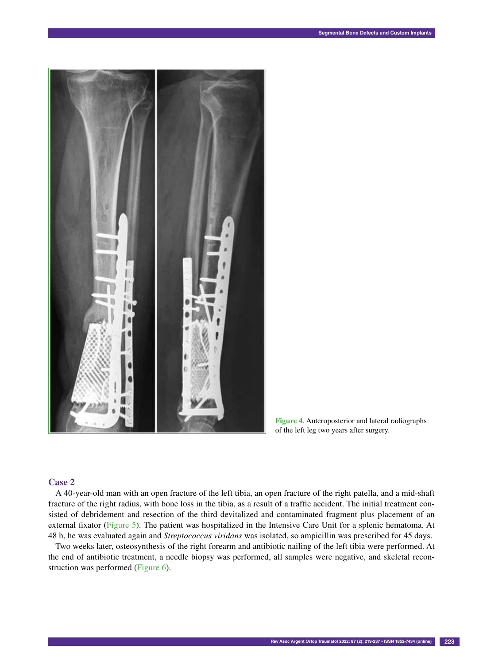

**Figure 4.** Anteroposterior and lateral radiographs of the left leg two years after surgery.

A 40-year-old man with an open fracture of the left tibia, an open fracture of the right patella, and a mid-shaft fracture of the right radius, with bone loss in the tibia, as a result of a traffic accident. The initial treatment consisted of debridement and resection of the third devitalized and contaminated fragment plus placement of an external fixator (Figure 5). The patient was hospitalized in the Intensive Care Unit for a splenic hematoma. At 48 h, he was evaluated again and *Streptococcus viridans* was isolated, so ampicillin was prescribed for 45 days.

Two weeks later, osteosynthesis of the right forearm and antibiotic nailing of the left tibia were performed. At the end of antibiotic treatment, a needle biopsy was performed, all samples were negative, and skeletal reconstruction was performed (Figure 6).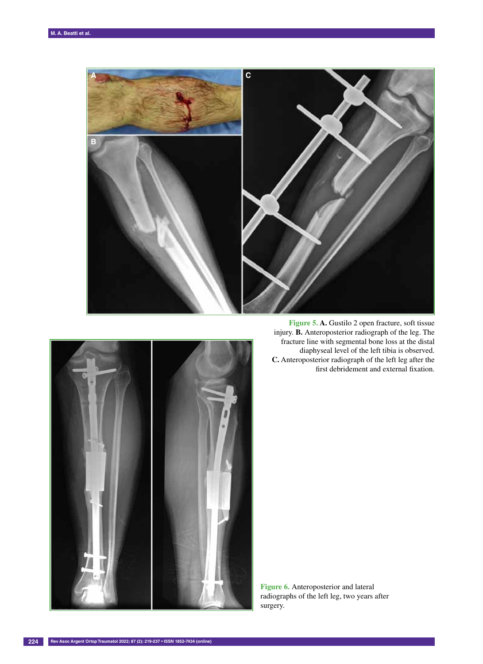



**Figure 5. A.** Gustilo 2 open fracture, soft tissue injury. **B.** Anteroposterior radiograph of the leg. The fracture line with segmental bone loss at the distal diaphyseal level of the left tibia is observed. **C.** Anteroposterior radiograph of the left leg after the first debridement and external fixation.

**Figure 6.** Anteroposterior and lateral radiographs of the left leg, two years after surgery.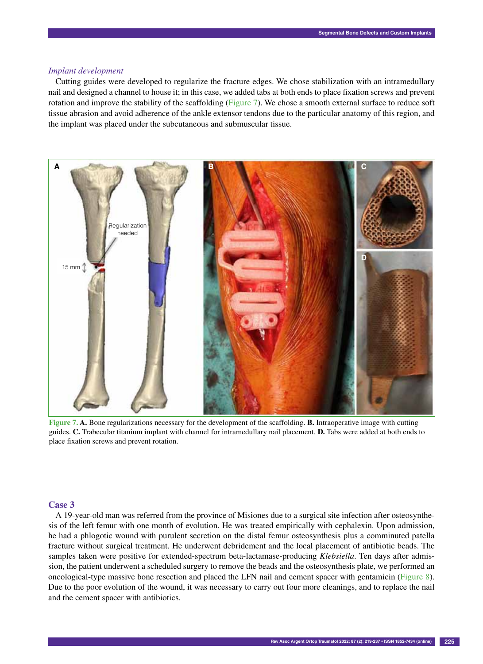# *Implant development*

Cutting guides were developed to regularize the fracture edges. We chose stabilization with an intramedullary nail and designed a channel to house it; in this case, we added tabs at both ends to place fixation screws and prevent rotation and improve the stability of the scaffolding (Figure 7). We chose a smooth external surface to reduce soft tissue abrasion and avoid adherence of the ankle extensor tendons due to the particular anatomy of this region, and the implant was placed under the subcutaneous and submuscular tissue.



**Figure 7. A.** Bone regularizations necessary for the development of the scaffolding. **B.** Intraoperative image with cutting guides. **C.** Trabecular titanium implant with channel for intramedullary nail placement. **D.** Tabs were added at both ends to place fixation screws and prevent rotation.

## **Case 3**

A 19-year-old man was referred from the province of Misiones due to a surgical site infection after osteosynthesis of the left femur with one month of evolution. He was treated empirically with cephalexin. Upon admission, he had a phlogotic wound with purulent secretion on the distal femur osteosynthesis plus a comminuted patella fracture without surgical treatment. He underwent debridement and the local placement of antibiotic beads. The samples taken were positive for extended-spectrum beta-lactamase-producing *Klebsiella*. Ten days after admission, the patient underwent a scheduled surgery to remove the beads and the osteosynthesis plate, we performed an oncological-type massive bone resection and placed the LFN nail and cement spacer with gentamicin (Figure 8). Due to the poor evolution of the wound, it was necessary to carry out four more cleanings, and to replace the nail and the cement spacer with antibiotics.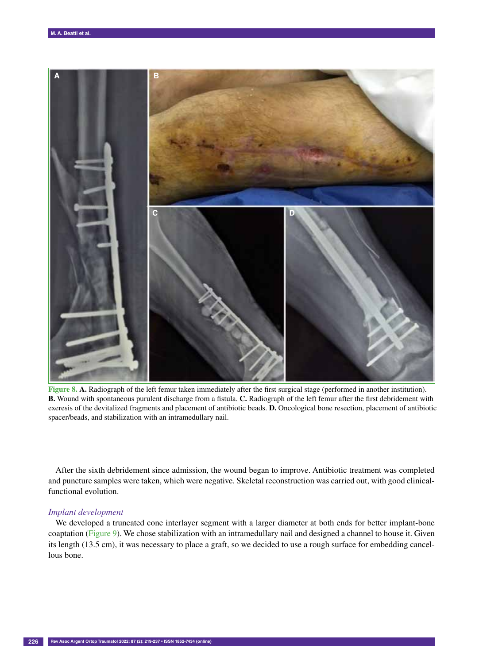

**Figure 8. A.** Radiograph of the left femur taken immediately after the first surgical stage (performed in another institution). **B.** Wound with spontaneous purulent discharge from a fistula. **C.** Radiograph of the left femur after the first debridement with exeresis of the devitalized fragments and placement of antibiotic beads. **D.** Oncological bone resection, placement of antibiotic spacer/beads, and stabilization with an intramedullary nail.

After the sixth debridement since admission, the wound began to improve. Antibiotic treatment was completed and puncture samples were taken, which were negative. Skeletal reconstruction was carried out, with good clinicalfunctional evolution.

## *Implant development*

We developed a truncated cone interlayer segment with a larger diameter at both ends for better implant-bone coaptation (Figure 9). We chose stabilization with an intramedullary nail and designed a channel to house it. Given its length (13.5 cm), it was necessary to place a graft, so we decided to use a rough surface for embedding cancellous bone.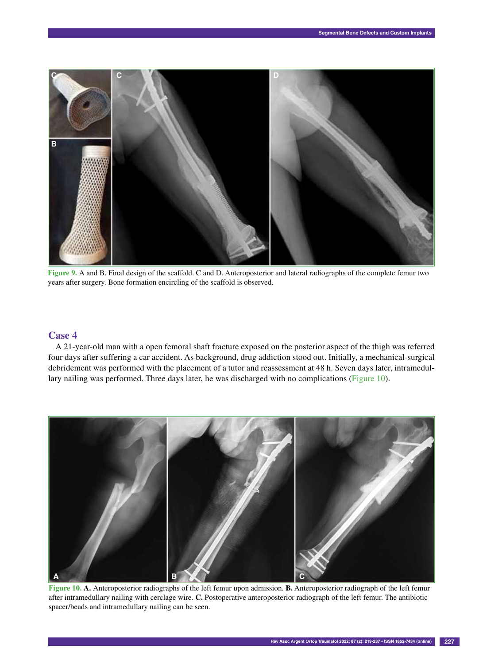

**Figure 9.** A and B. Final design of the scaffold. C and D. Anteroposterior and lateral radiographs of the complete femur two years after surgery. Bone formation encircling of the scaffold is observed.

A 21-year-old man with a open femoral shaft fracture exposed on the posterior aspect of the thigh was referred four days after suffering a car accident. As background, drug addiction stood out. Initially, a mechanical-surgical debridement was performed with the placement of a tutor and reassessment at 48 h. Seven days later, intramedullary nailing was performed. Three days later, he was discharged with no complications (Figure 10).



**Figure 10. A.** Anteroposterior radiographs of the left femur upon admission. **B.** Anteroposterior radiograph of the left femur after intramedullary nailing with cerclage wire. **C.** Postoperative anteroposterior radiograph of the left femur. The antibiotic spacer/beads and intramedullary nailing can be seen.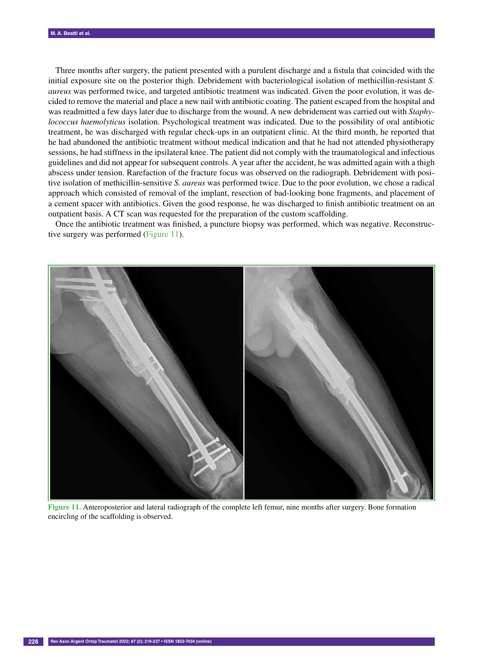Three months after surgery, the patient presented with a purulent discharge and a fistula that coincided with the initial exposure site on the posterior thigh. Debridement with bacteriological isolation of methicillin-resistant *S. aureus* was performed twice, and targeted antibiotic treatment was indicated. Given the poor evolution, it was decided to remove the material and place a new nail with antibiotic coating. The patient escaped from the hospital and was readmitted a few days later due to discharge from the wound. A new debridement was carried out with *Staphylococcus haemolyticus* isolation. Psychological treatment was indicated. Due to the possibility of oral antibiotic treatment, he was discharged with regular check-ups in an outpatient clinic. At the third month, he reported that he had abandoned the antibiotic treatment without medical indication and that he had not attended physiotherapy sessions, he had stiffness in the ipsilateral knee. The patient did not comply with the traumatological and infectious guidelines and did not appear for subsequent controls. A year after the accident, he was admitted again with a thigh abscess under tension. Rarefaction of the fracture focus was observed on the radiograph. Debridement with positive isolation of methicillin-sensitive *S. aureus* was performed twice. Due to the poor evolution, we chose a radical approach which consisted of removal of the implant, resection of bad-looking bone fragments, and placement of a cement spacer with antibiotics. Given the good response, he was discharged to finish antibiotic treatment on an outpatient basis. A CT scan was requested for the preparation of the custom scaffolding.

Once the antibiotic treatment was finished, a puncture biopsy was performed, which was negative. Reconstructive surgery was performed (Figure 11).



**Figure 11.** Anteroposterior and lateral radiograph of the complete left femur, nine months after surgery. Bone formation encircling of the scaffolding is observed.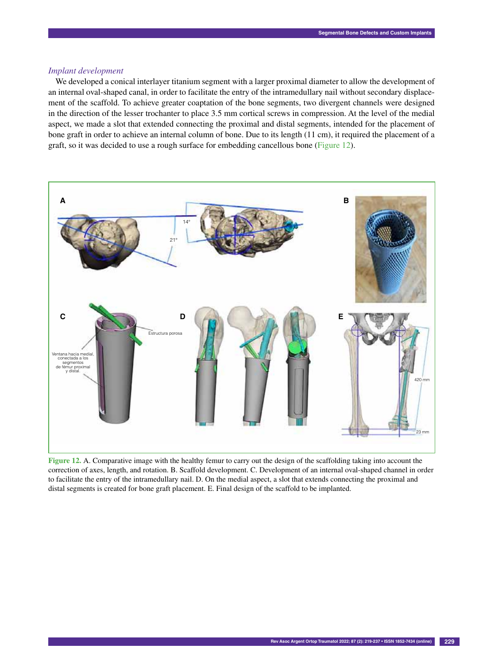# *Implant development*

We developed a conical interlayer titanium segment with a larger proximal diameter to allow the development of an internal oval-shaped canal, in order to facilitate the entry of the intramedullary nail without secondary displacement of the scaffold. To achieve greater coaptation of the bone segments, two divergent channels were designed in the direction of the lesser trochanter to place 3.5 mm cortical screws in compression. At the level of the medial aspect, we made a slot that extended connecting the proximal and distal segments, intended for the placement of bone graft in order to achieve an internal column of bone. Due to its length (11 cm), it required the placement of a graft, so it was decided to use a rough surface for embedding cancellous bone (Figure 12).



**Figure 12.** A. Comparative image with the healthy femur to carry out the design of the scaffolding taking into account the correction of axes, length, and rotation. B. Scaffold development. C. Development of an internal oval-shaped channel in order to facilitate the entry of the intramedullary nail. D. On the medial aspect, a slot that extends connecting the proximal and distal segments is created for bone graft placement. E. Final design of the scaffold to be implanted.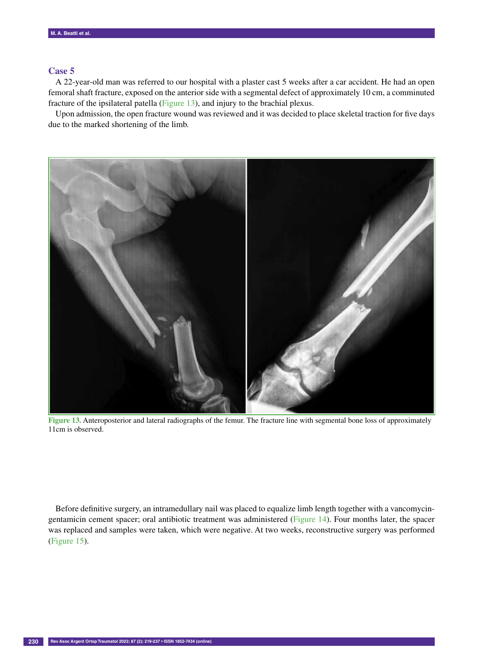A 22-year-old man was referred to our hospital with a plaster cast 5 weeks after a car accident. He had an open femoral shaft fracture, exposed on the anterior side with a segmental defect of approximately 10 cm, a comminuted fracture of the ipsilateral patella (Figure 13), and injury to the brachial plexus.

Upon admission, the open fracture wound was reviewed and it was decided to place skeletal traction for five days due to the marked shortening of the limb.



**Figure 13.** Anteroposterior and lateral radiographs of the femur. The fracture line with segmental bone loss of approximately 11cm is observed.

Before definitive surgery, an intramedullary nail was placed to equalize limb length together with a vancomycingentamicin cement spacer; oral antibiotic treatment was administered (Figure 14). Four months later, the spacer was replaced and samples were taken, which were negative. At two weeks, reconstructive surgery was performed (Figure 15).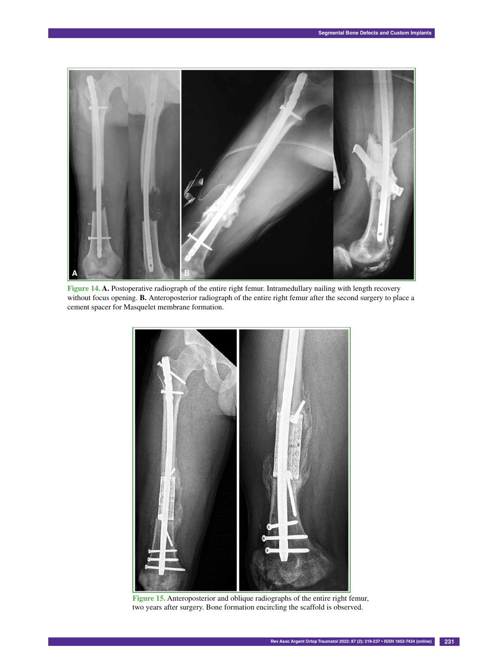

**Figure 14. A.** Postoperative radiograph of the entire right femur. Intramedullary nailing with length recovery without focus opening. **B.** Anteroposterior radiograph of the entire right femur after the second surgery to place a cement spacer for Masquelet membrane formation.



**Figure 15.** Anteroposterior and oblique radiographs of the entire right femur, two years after surgery. Bone formation encircling the scaffold is observed.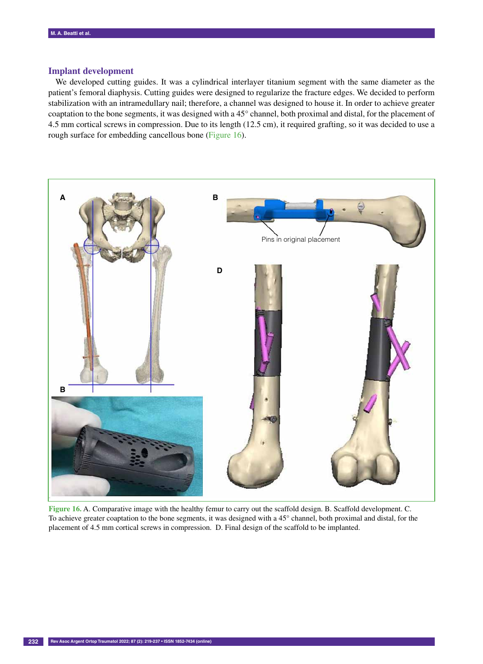# **Implant development**

We developed cutting guides. It was a cylindrical interlayer titanium segment with the same diameter as the patient's femoral diaphysis. Cutting guides were designed to regularize the fracture edges. We decided to perform stabilization with an intramedullary nail; therefore, a channel was designed to house it. In order to achieve greater coaptation to the bone segments, it was designed with a 45° channel, both proximal and distal, for the placement of 4.5 mm cortical screws in compression. Due to its length (12.5 cm), it required grafting, so it was decided to use a rough surface for embedding cancellous bone (Figure 16).



**Figure 16.** A. Comparative image with the healthy femur to carry out the scaffold design. B. Scaffold development. C. To achieve greater coaptation to the bone segments, it was designed with a 45° channel, both proximal and distal, for the placement of 4.5 mm cortical screws in compression. D. Final design of the scaffold to be implanted.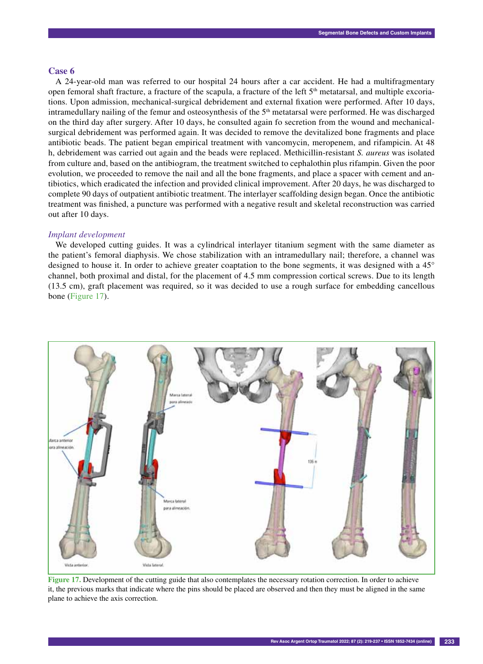A 24-year-old man was referred to our hospital 24 hours after a car accident. He had a multifragmentary open femoral shaft fracture, a fracture of the scapula, a fracture of the left  $5<sup>th</sup>$  metatarsal, and multiple excoriations. Upon admission, mechanical-surgical debridement and external fixation were performed. After 10 days, intramedullary nailing of the femur and osteosynthesis of the  $5<sup>th</sup>$  metatarsal were performed. He was discharged on the third day after surgery. After 10 days, he consulted again fo secretion from the wound and mechanicalsurgical debridement was performed again. It was decided to remove the devitalized bone fragments and place antibiotic beads. The patient began empirical treatment with vancomycin, meropenem, and rifampicin. At 48 h, debridement was carried out again and the beads were replaced. Methicillin-resistant *S. aureus* was isolated from culture and, based on the antibiogram, the treatment switched to cephalothin plus rifampin. Given the poor evolution, we proceeded to remove the nail and all the bone fragments, and place a spacer with cement and antibiotics, which eradicated the infection and provided clinical improvement. After 20 days, he was discharged to complete 90 days of outpatient antibiotic treatment. The interlayer scaffolding design began. Once the antibiotic treatment was finished, a puncture was performed with a negative result and skeletal reconstruction was carried out after 10 days.

## *Implant development*

We developed cutting guides. It was a cylindrical interlayer titanium segment with the same diameter as the patient's femoral diaphysis. We chose stabilization with an intramedullary nail; therefore, a channel was designed to house it. In order to achieve greater coaptation to the bone segments, it was designed with a 45° channel, both proximal and distal, for the placement of 4.5 mm compression cortical screws. Due to its length (13.5 cm), graft placement was required, so it was decided to use a rough surface for embedding cancellous bone (Figure 17).



**Figure 17.** Development of the cutting guide that also contemplates the necessary rotation correction. In order to achieve it, the previous marks that indicate where the pins should be placed are observed and then they must be aligned in the same plane to achieve the axis correction.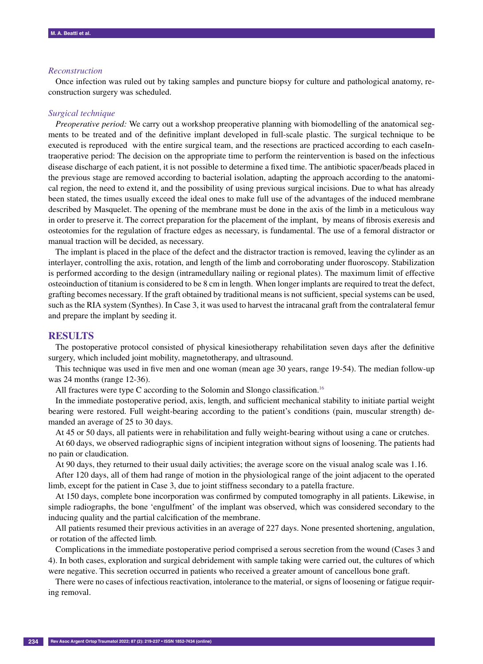## *Reconstruction*

Once infection was ruled out by taking samples and puncture biopsy for culture and pathological anatomy, reconstruction surgery was scheduled.

### *Surgical technique*

*Preoperative period:* We carry out a workshop preoperative planning with biomodelling of the anatomical segments to be treated and of the definitive implant developed in full-scale plastic. The surgical technique to be executed is reproduced with the entire surgical team, and the resections are practiced according to each caseIntraoperative period: The decision on the appropriate time to perform the reintervention is based on the infectious disease discharge of each patient, it is not possible to determine a fixed time. The antibiotic spacer/beads placed in the previous stage are removed according to bacterial isolation, adapting the approach according to the anatomical region, the need to extend it, and the possibility of using previous surgical incisions. Due to what has already been stated, the times usually exceed the ideal ones to make full use of the advantages of the induced membrane described by Masquelet. The opening of the membrane must be done in the axis of the limb in a meticulous way in order to preserve it. The correct preparation for the placement of the implant, by means of fibrosis exeresis and osteotomies for the regulation of fracture edges as necessary, is fundamental. The use of a femoral distractor or manual traction will be decided, as necessary.

The implant is placed in the place of the defect and the distractor traction is removed, leaving the cylinder as an interlayer, controlling the axis, rotation, and length of the limb and corroborating under fluoroscopy. Stabilization is performed according to the design (intramedullary nailing or regional plates). The maximum limit of effective osteoinduction of titanium is considered to be 8 cm in length. When longer implants are required to treat the defect, grafting becomes necessary. If the graft obtained by traditional means is not sufficient, special systems can be used, such as the RIA system (Synthes). In Case 3, it was used to harvest the intracanal graft from the contralateral femur and prepare the implant by seeding it.

# **Results**

The postoperative protocol consisted of physical kinesiotherapy rehabilitation seven days after the definitive surgery, which included joint mobility, magnetotherapy, and ultrasound.

This technique was used in five men and one woman (mean age 30 years, range 19-54). The median follow-up was 24 months (range 12-36).

All fractures were type C according to the Solomin and Slongo classification.<sup>16</sup>

In the immediate postoperative period, axis, length, and sufficient mechanical stability to initiate partial weight bearing were restored. Full weight-bearing according to the patient's conditions (pain, muscular strength) demanded an average of 25 to 30 days.

At 45 or 50 days, all patients were in rehabilitation and fully weight-bearing without using a cane or crutches.

At 60 days, we observed radiographic signs of incipient integration without signs of loosening. The patients had no pain or claudication.

At 90 days, they returned to their usual daily activities; the average score on the visual analog scale was 1.16.

After 120 days, all of them had range of motion in the physiological range of the joint adjacent to the operated limb, except for the patient in Case 3, due to joint stiffness secondary to a patella fracture.

At 150 days, complete bone incorporation was confirmed by computed tomography in all patients. Likewise, in simple radiographs, the bone 'engulfment' of the implant was observed, which was considered secondary to the inducing quality and the partial calcification of the membrane.

All patients resumed their previous activities in an average of 227 days. None presented shortening, angulation, or rotation of the affected limb.

Complications in the immediate postoperative period comprised a serous secretion from the wound (Cases 3 and 4). In both cases, exploration and surgical debridement with sample taking were carried out, the cultures of which were negative. This secretion occurred in patients who received a greater amount of cancellous bone graft.

There were no cases of infectious reactivation, intolerance to the material, or signs of loosening or fatigue requiring removal.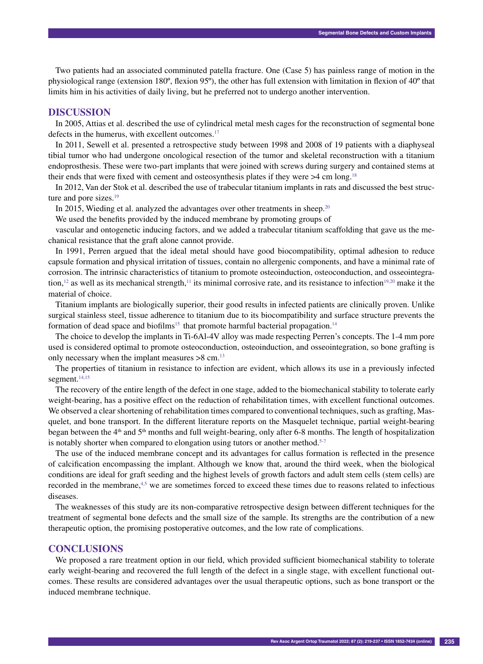Two patients had an associated comminuted patella fracture. One (Case 5) has painless range of motion in the physiological range (extension 180º, flexion 95º), the other has full extension with limitation in flexion of 40º that limits him in his activities of daily living, but he preferred not to undergo another intervention.

# **Discussion**

In 2005, Attias et al. described the use of cylindrical metal mesh cages for the reconstruction of segmental bone defects in the humerus, with excellent outcomes.<sup>17</sup>

In 2011, Sewell et al. presented a retrospective study between 1998 and 2008 of 19 patients with a diaphyseal tibial tumor who had undergone oncological resection of the tumor and skeletal reconstruction with a titanium endoprosthesis. These were two-part implants that were joined with screws during surgery and contained stems at their ends that were fixed with cement and osteosynthesis plates if they were  $>4$  cm long.<sup>18</sup>

In 2012, Van der Stok et al. described the use of trabecular titanium implants in rats and discussed the best structure and pore sizes.<sup>19</sup>

In 2015, Wieding et al. analyzed the advantages over other treatments in sheep.<sup>20</sup>

We used the benefits provided by the induced membrane by promoting groups of

vascular and ontogenetic inducing factors, and we added a trabecular titanium scaffolding that gave us the mechanical resistance that the graft alone cannot provide.

In 1991, Perren argued that the ideal metal should have good biocompatibility, optimal adhesion to reduce capsule formation and physical irritation of tissues, contain no allergenic components, and have a minimal rate of corrosion. The intrinsic characteristics of titanium to promote osteoinduction, osteoconduction, and osseointegration,<sup>12</sup> as well as its mechanical strength,<sup>11</sup> its minimal corrosive rate, and its resistance to infection<sup>19,20</sup> make it the material of choice.

Titanium implants are biologically superior, their good results in infected patients are clinically proven. Unlike surgical stainless steel, tissue adherence to titanium due to its biocompatibility and surface structure prevents the formation of dead space and biofilms<sup>15</sup> that promote harmful bacterial propagation.<sup>14</sup>

The choice to develop the implants in Ti-6Al-4V alloy was made respecting Perren's concepts. The 1-4 mm pore used is considered optimal to promote osteoconduction, osteoinduction, and osseointegration, so bone grafting is only necessary when the implant measures  $>8$  cm.<sup>13</sup>

The properties of titanium in resistance to infection are evident, which allows its use in a previously infected segment.<sup>14,15</sup>

The recovery of the entire length of the defect in one stage, added to the biomechanical stability to tolerate early weight-bearing, has a positive effect on the reduction of rehabilitation times, with excellent functional outcomes. We observed a clear shortening of rehabilitation times compared to conventional techniques, such as grafting, Masquelet, and bone transport. In the different literature reports on the Masquelet technique, partial weight-bearing began between the 4<sup>th</sup> and 5<sup>th</sup> months and full weight-bearing, only after 6-8 months. The length of hospitalization is notably shorter when compared to elongation using tutors or another method. $5-7$ 

The use of the induced membrane concept and its advantages for callus formation is reflected in the presence of calcification encompassing the implant. Although we know that, around the third week, when the biological conditions are ideal for graft seeding and the highest levels of growth factors and adult stem cells (stem cells) are recorded in the membrane,<sup>4,5</sup> we are sometimes forced to exceed these times due to reasons related to infectious diseases.

The weaknesses of this study are its non-comparative retrospective design between different techniques for the treatment of segmental bone defects and the small size of the sample. Its strengths are the contribution of a new therapeutic option, the promising postoperative outcomes, and the low rate of complications.

# **Conclusions**

We proposed a rare treatment option in our field, which provided sufficient biomechanical stability to tolerate early weight-bearing and recovered the full length of the defect in a single stage, with excellent functional outcomes. These results are considered advantages over the usual therapeutic options, such as bone transport or the induced membrane technique.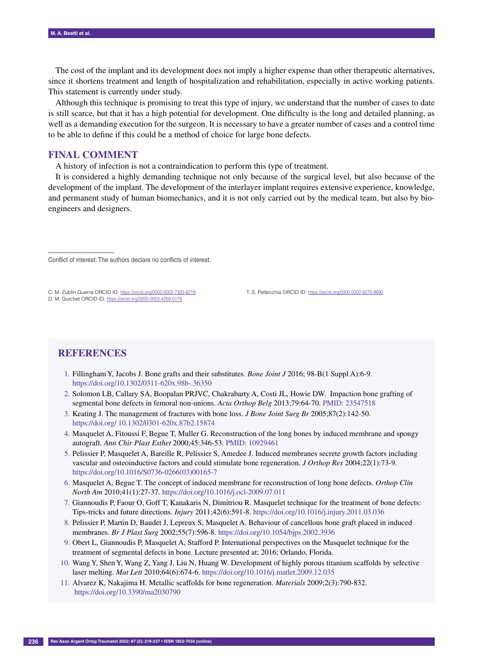The cost of the implant and its development does not imply a higher expense than other therapeutic alternatives, since it shortens treatment and length of hospitalization and rehabilitation, especially in active working patients. This statement is currently under study.

Although this technique is promising to treat this type of injury, we understand that the number of cases to date is still scarce, but that it has a high potential for development. One difficulty is the long and detailed planning, as well as a demanding execution for the surgeon. It is necessary to have a greater number of cases and a control time to be able to define if this could be a method of choice for large bone defects.

# **Final comment**

A history of infection is not a contraindication to perform this type of treatment.

It is considered a highly demanding technique not only because of the surgical level, but also because of the development of the implant. The development of the interlayer implant requires extensive experience, knowledge, and permanent study of human biomechanics, and it is not only carried out by the medical team, but also by bioengineers and designers.

Conflict of interest: The authors declare no conflicts of interest.

C. M. Zublin Guerra ORCID ID: https://orcid.org/0000-0002-7333-8219 D. M. Guichet ORCID ID: https://orcid.org/0000-0003-4259-0179

T. S. Pellecchia ORCID ID: https://orcid.org/0000-0002-6070-9690

# **References**

––––––––––––––––––

- 1. Fillingham Y, Jacobs J. Bone grafts and their substitutes. *Bone Joint J* 2016; 98-B(1 Suppl A):6-9. https://doi.org/10.1302/0311-620x.98b-.36350
- 2. Solomon LB, Callary SA, Boopalan PRJVC, Chakrabarty A, Costi JL, Howie DW. Impaction bone grafting of segmental bone defects in femoral non-unions. *Acta Orthop Belg* 2013;79:64-70. PMID: 23547518
- 3. Keating J. The management of fractures with bone loss. *J Bone Joint Surg Br* 2005;87(2):142-50. https://doi.org/ 10.1302/0301-620x.87b2.15874
- 4. Masquelet A, Fitoussi F, Begue T, Muller G. Reconstruction of the long bones by induced membrane and spongy autograft. *Ann Chir Plast Esthet* 2000;45:346-53. PMID: 10929461
- 5. Pelissier P, Masquelet A, Bareille R, Pelissier S, Amedee J. Induced membranes secrete growth factors including vascular and osteoinductive factors and could stimulate bone regeneration. *J Orthop Res* 2004;22(1):73-9. https://doi.org/10.1016/S0736-0266(03)00165-7
- 6. Masquelet A, Begue T. The concept of induced membrane for reconstruction of long bone defects. *Orthop Clin North Am* 2010;41(1):27-37. https://doi.org/10.1016/j.ocl-2009.07.011
- 7. Giannoudis P, Faour O, Goff T, Kanakaris N, Dimitriou R. Masquelet technique for the treatment of bone defects: Tips-tricks and future directions. *Injury* 2011;42(6):591-8. https://doi.org/10.1016/j.injury.2011.03.036
- 8. Pelissier P, Martin D, Baudet J, Lepreux S, Masquelet A. Behaviour of cancellous bone graft placed in induced membranes. *Br J Plast Surg* 2002;55(7):596-8. https://doi.org/10.1054/bjps.2002.3936
- 9. Obert L, Giannoudis P, Masquelet A, Stafford P. International perspectives on the Masquelet technique for the treatment of segmental defects in bone. Lecture presented at; 2016; Orlando, Florida.
- 10. Wang Y, Shen Y, Wang Z, Yang J, Liu N, Huang W. Development of highly porous titanium scaffolds by selective laser melting. *Mat Lett* 2010;64(6):674-6. https://doi.org/10.1016/j.matlet.2009.12.035
- 11. Alvarez K, Nakajima H. Metallic scaffolds for bone regeneration. *Materials* 2009;2(3):790-832. https://doi.org/10.3390/ma2030790